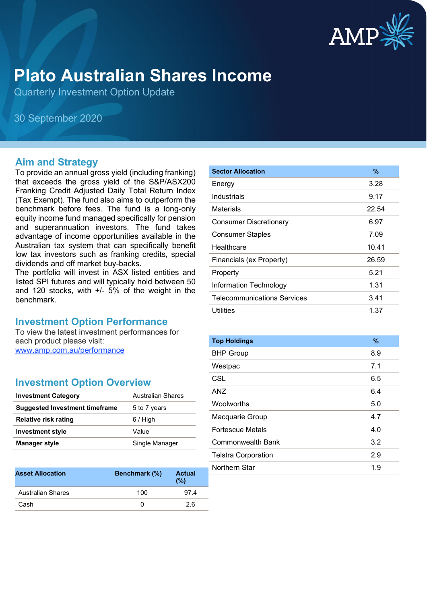

# **Plato Australian Shares Income**

Quarterly Investment Option Update

30 September 2020

#### **Aim and Strategy**

To provide an annual gross yield (including franking) that exceeds the gross yield of the S&P/ASX200 Franking Credit Adjusted Daily Total Return Index (Tax Exempt). The fund also aims to outperform the benchmark before fees. The fund is a long-only equity income fund managed specifically for pension and superannuation investors. The fund takes advantage of income opportunities available in the Australian tax system that can specifically benefit low tax investors such as franking credits, special dividends and off market buy-backs.

The portfolio will invest in ASX listed entities and listed SPI futures and will typically hold between 50 and 120 stocks, with +/- 5% of the weight in the benchmark.

### **Investment Option Performance**

To view the latest investment performances for each product please visit: [www.amp.com.au/performance](https://www.amp.com.au/performance)

#### **Investment Option Overview**

| <b>Investment Category</b>            | Australian Shares |
|---------------------------------------|-------------------|
| <b>Suggested Investment timeframe</b> | 5 to 7 years      |
| Relative risk rating                  | $6/$ High         |
| <b>Investment style</b>               | Value             |
| <b>Manager style</b>                  | Single Manager    |

| <b>Asset Allocation</b>  | Benchmark (%) | <b>Actual</b><br>(%) |
|--------------------------|---------------|----------------------|
| <b>Australian Shares</b> | 100           | 974                  |
| Cash                     |               | 26                   |

| <b>Sector Allocation</b>           | %     |
|------------------------------------|-------|
| Energy                             | 3.28  |
| Industrials                        | 9.17  |
| Materials                          | 22.54 |
| <b>Consumer Discretionary</b>      | 6.97  |
| <b>Consumer Staples</b>            | 7.09  |
| Healthcare                         | 10.41 |
| Financials (ex Property)           | 26.59 |
| Property                           | 5.21  |
| Information Technology             | 1.31  |
| <b>Telecommunications Services</b> | 3.41  |
| Utilities                          | 1.37  |

| <b>Top Holdings</b>        | $\%$ |
|----------------------------|------|
| <b>BHP Group</b>           | 8.9  |
| Westpac                    | 7.1  |
| CSL                        | 6.5  |
| ANZ                        | 6.4  |
| <b>Woolworths</b>          | 5.0  |
| Macquarie Group            | 4.7  |
| Fortescue Metals           | 4.0  |
| Commonwealth Bank          | 3.2  |
| <b>Telstra Corporation</b> | 2.9  |
| Northern Star              | 1.9  |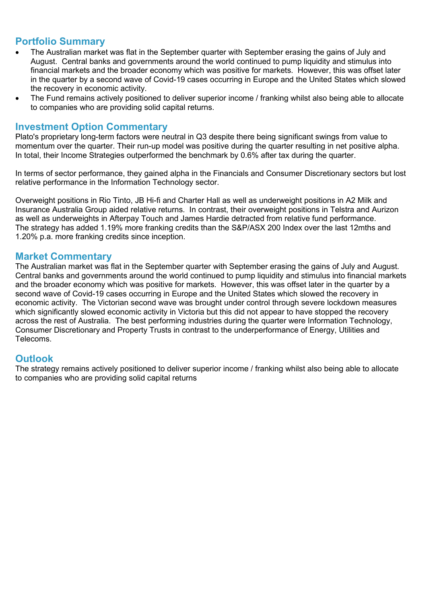## **Portfolio Summary**

- The Australian market was flat in the September quarter with September erasing the gains of July and August. Central banks and governments around the world continued to pump liquidity and stimulus into financial markets and the broader economy which was positive for markets. However, this was offset later in the quarter by a second wave of Covid-19 cases occurring in Europe and the United States which slowed the recovery in economic activity.
- The Fund remains actively positioned to deliver superior income / franking whilst also being able to allocate to companies who are providing solid capital returns.

#### **Investment Option Commentary**

Plato's proprietary long-term factors were neutral in Q3 despite there being significant swings from value to momentum over the quarter. Their run-up model was positive during the quarter resulting in net positive alpha. In total, their Income Strategies outperformed the benchmark by 0.6% after tax during the quarter.

In terms of sector performance, they gained alpha in the Financials and Consumer Discretionary sectors but lost relative performance in the Information Technology sector.

Overweight positions in Rio Tinto, JB Hi-fi and Charter Hall as well as underweight positions in A2 Milk and Insurance Australia Group aided relative returns. In contrast, their overweight positions in Telstra and Aurizon as well as underweights in Afterpay Touch and James Hardie detracted from relative fund performance. The strategy has added 1.19% more franking credits than the S&P/ASX 200 Index over the last 12mths and 1.20% p.a. more franking credits since inception.

#### **Market Commentary**

The Australian market was flat in the September quarter with September erasing the gains of July and August. Central banks and governments around the world continued to pump liquidity and stimulus into financial markets and the broader economy which was positive for markets. However, this was offset later in the quarter by a second wave of Covid-19 cases occurring in Europe and the United States which slowed the recovery in economic activity. The Victorian second wave was brought under control through severe lockdown measures which significantly slowed economic activity in Victoria but this did not appear to have stopped the recovery across the rest of Australia. The best performing industries during the quarter were Information Technology, Consumer Discretionary and Property Trusts in contrast to the underperformance of Energy, Utilities and Telecoms.

### **Outlook**

The strategy remains actively positioned to deliver superior income / franking whilst also being able to allocate to companies who are providing solid capital returns